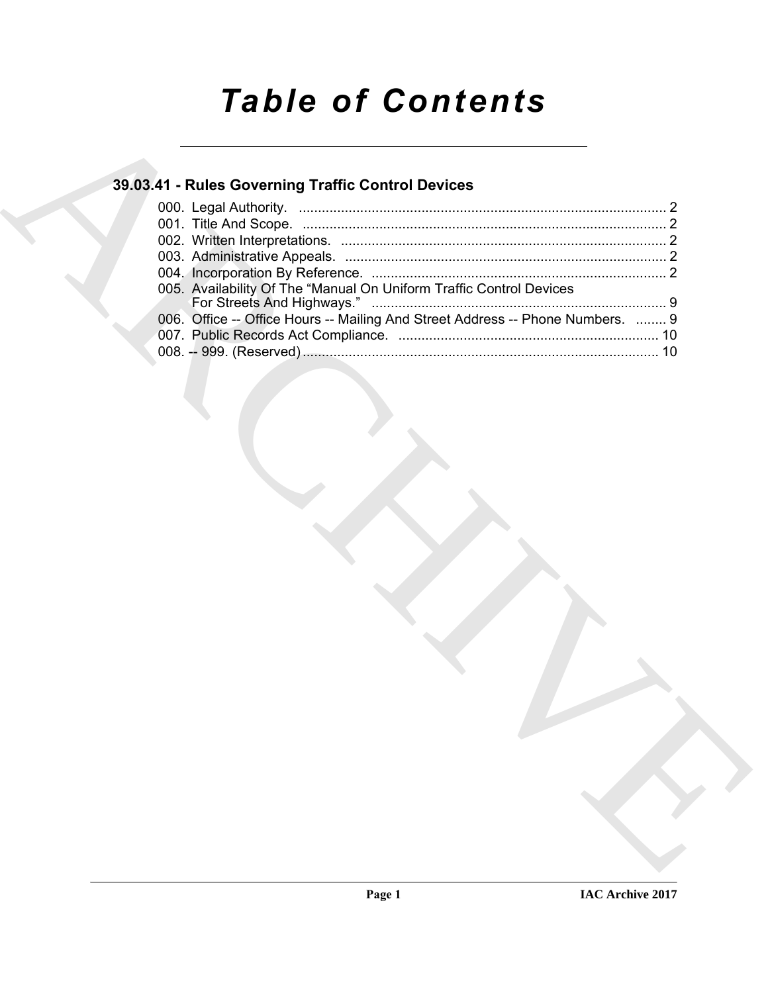# *Table of Contents*

### **39.03.41 - Rules Governing Traffic Control Devices**

| 005. Availability Of The "Manual On Uniform Traffic Control Devices            |  |
|--------------------------------------------------------------------------------|--|
| 006. Office -- Office Hours -- Mailing And Street Address -- Phone Numbers.  9 |  |
|                                                                                |  |
|                                                                                |  |
|                                                                                |  |
|                                                                                |  |
|                                                                                |  |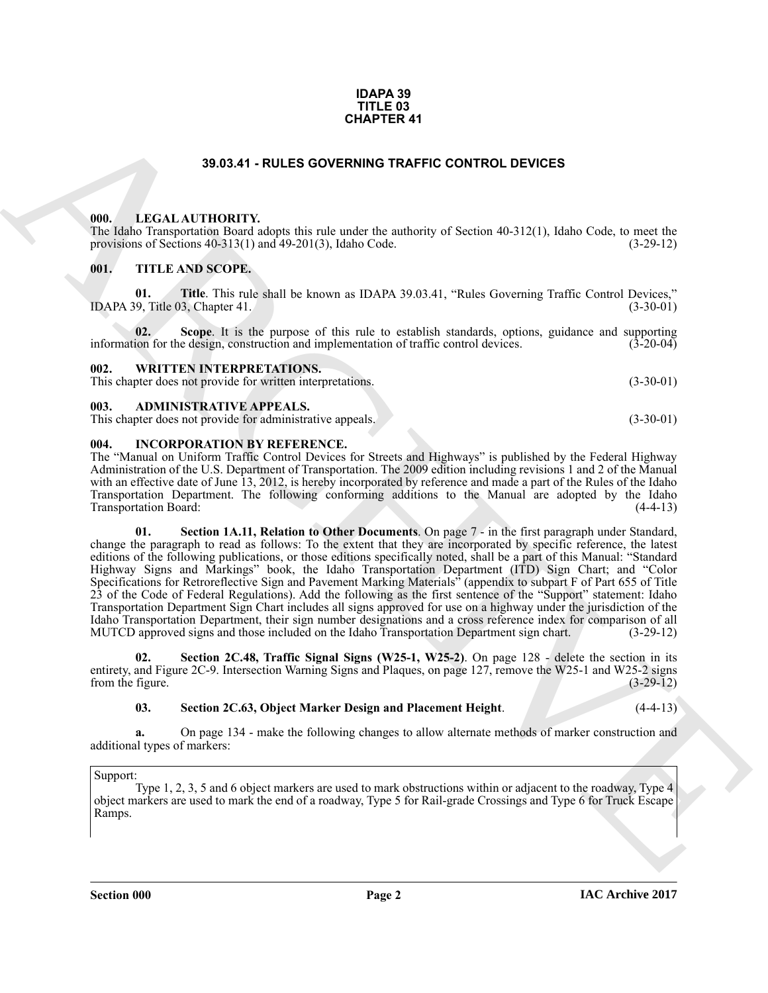#### **IDAPA 39 TITLE 03 CHAPTER 41**

#### **39.03.41 - RULES GOVERNING TRAFFIC CONTROL DEVICES**

#### <span id="page-1-1"></span><span id="page-1-0"></span>**000. LEGAL AUTHORITY.**

The Idaho Transportation Board adopts this rule under the authority of Section 40-312(1), Idaho Code, to meet the provisions of Sections 40-313(1) and 49-201(3), Idaho Code. (3-29-12)

#### <span id="page-1-2"></span>**001. TITLE AND SCOPE.**

**01. Title**. This rule shall be known as IDAPA 39.03.41, "Rules Governing Traffic Control Devices," 9. Title 03. Chapter 41. (3-30-01) IDAPA 39, Title  $03$ , Chapter  $41$ .

**02.** Scope. It is the purpose of this rule to establish standards, options, guidance and supporting ion for the design, construction and implementation of traffic control devices. (3-20-04) information for the design, construction and implementation of traffic control devices.

#### <span id="page-1-3"></span>**002. WRITTEN INTERPRETATIONS.** This chapter does not provide for written interpretations. (3-30-01)

#### <span id="page-1-4"></span>**003. ADMINISTRATIVE APPEALS.**

This chapter does not provide for administrative appeals. (3-30-01)

#### <span id="page-1-5"></span>**004. INCORPORATION BY REFERENCE.**

The "Manual on Uniform Traffic Control Devices for Streets and Highways" is published by the Federal Highway Administration of the U.S. Department of Transportation. The 2009 edition including revisions 1 and 2 of the Manual with an effective date of June 13, 2012, is hereby incorporated by reference and made a part of the Rules of the Idaho Transportation Department. The following conforming additions to the Manual are adopted by the Idaho Transportation Board: (4-4-13)

**39.83.41 - RULES OOVERWING TRAFFIC CONTROL DEVICES<br>
1990. LECAL AUTIDONITY<br>
1990. LECAL AUTIDONITY<br>
1990. THE AND SCOPE RESIDENCE AND TRAFFIC CONTROL DEVICES AND COME RESIDENCE (FOR THE AND SCOPE).<br>
1991. THE AND SCOPE.<br> 01. Section 1A.11, Relation to Other Documents**. On page 7 - in the first paragraph under Standard, change the paragraph to read as follows: To the extent that they are incorporated by specific reference, the latest editions of the following publications, or those editions specifically noted, shall be a part of this Manual: "Standard Highway Signs and Markings" book, the Idaho Transportation Department (ITD) Sign Chart; and "Color Specifications for Retroreflective Sign and Pavement Marking Materials" (appendix to subpart F of Part 655 of Title 23 of the Code of Federal Regulations). Add the following as the first sentence of the "Support" statement: Idaho Transportation Department Sign Chart includes all signs approved for use on a highway under the jurisdiction of the Idaho Transportation Department, their sign number designations and a cross reference index for comparison of all MUTCD approved signs and those included on the Idaho Transportation Department sign chart.

**Section 2C.48, Traffic Signal Signs (W25-1, W25-2)**. On page 128 - delete the section in its entirety, and Figure 2C-9. Intersection Warning Signs and Plaques, on page 127, remove the W25-1 and W25-2 signs from the figure. (3-29-12) from the figure.

#### **03. Section 2C.63, Object Marker Design and Placement Height**. (4-4-13)

**a.** On page 134 - make the following changes to allow alternate methods of marker construction and additional types of markers:

#### Support:

Type 1, 2, 3, 5 and 6 object markers are used to mark obstructions within or adjacent to the roadway, Type 4 object markers are used to mark the end of a roadway, Type 5 for Rail-grade Crossings and Type 6 for Truck Escape Ramps.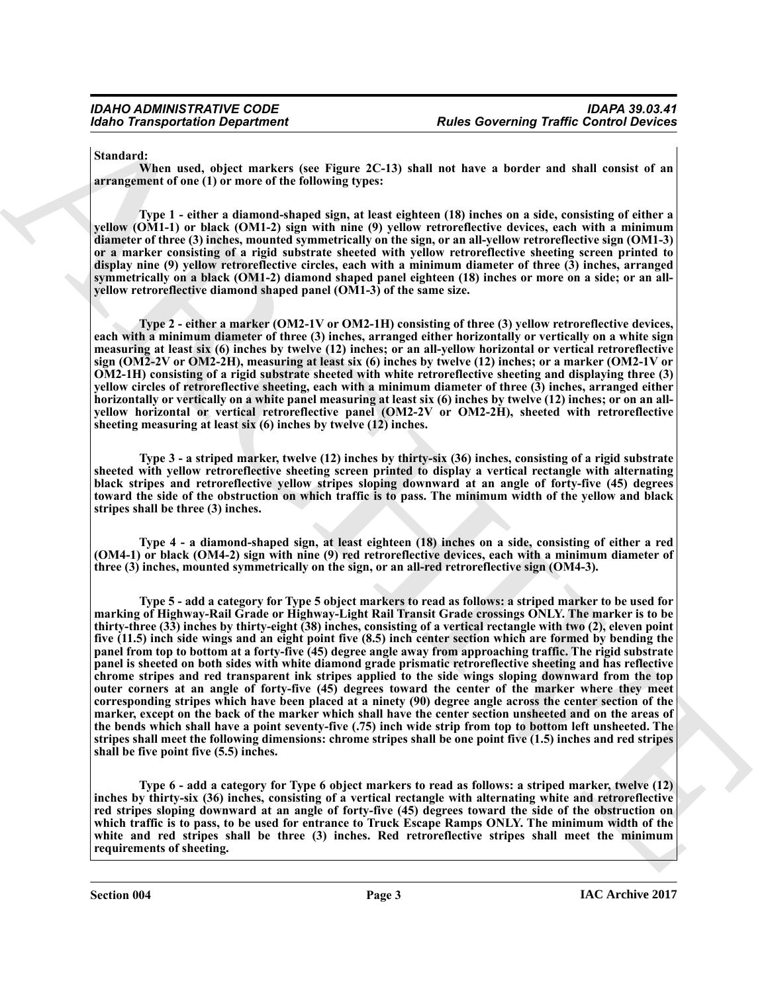**Standard:**

**When used, object markers (see Figure 2C-13) shall not have a border and shall consist of an arrangement of one (1) or more of the following types:**

**Type 1 - either a diamond-shaped sign, at least eighteen (18) inches on a side, consisting of either a yellow (OM1-1) or black (OM1-2) sign with nine (9) yellow retroreflective devices, each with a minimum diameter of three (3) inches, mounted symmetrically on the sign, or an all-yellow retroreflective sign (OM1-3) or a marker consisting of a rigid substrate sheeted with yellow retroreflective sheeting screen printed to display nine (9) yellow retroreflective circles, each with a minimum diameter of three (3) inches, arranged symmetrically on a black (OM1-2) diamond shaped panel eighteen (18) inches or more on a side; or an allyellow retroreflective diamond shaped panel (OM1-3) of the same size.**

**Type 2 - either a marker (OM2-1V or OM2-1H) consisting of three (3) yellow retroreflective devices, each with a minimum diameter of three (3) inches, arranged either horizontally or vertically on a white sign measuring at least six (6) inches by twelve (12) inches; or an all-yellow horizontal or vertical retroreflective sign (OM2-2V or OM2-2H), measuring at least six (6) inches by twelve (12) inches; or a marker (OM2-1V or OM2-1H) consisting of a rigid substrate sheeted with white retroreflective sheeting and displaying three (3) yellow circles of retroreflective sheeting, each with a minimum diameter of three (3) inches, arranged either** horizontally or vertically on a white panel measuring at least six (6) inches by twelve (12) inches; or on an all**yellow horizontal or vertical retroreflective panel (OM2-2V or OM2-2H), sheeted with retroreflective sheeting measuring at least six (6) inches by twelve (12) inches.**

**Type 3 - a striped marker, twelve (12) inches by thirty-six (36) inches, consisting of a rigid substrate sheeted with yellow retroreflective sheeting screen printed to display a vertical rectangle with alternating black stripes and retroreflective yellow stripes sloping downward at an angle of forty-five (45) degrees toward the side of the obstruction on which traffic is to pass. The minimum width of the yellow and black stripes shall be three (3) inches.**

**Type 4 - a diamond-shaped sign, at least eighteen (18) inches on a side, consisting of either a red (OM4-1) or black (OM4-2) sign with nine (9) red retroreflective devices, each with a minimum diameter of three (3) inches, mounted symmetrically on the sign, or an all-red retroreflective sign (OM4-3).**

Motio Transportation Department<br>
Standard Terms Control Research of the Herman Research of the Control Particular Standard (Standard Terms in the Standard Terms in the Standard Terms (Standard Terms in the Control Particu **Type 5 - add a category for Type 5 object markers to read as follows: a striped marker to be used for marking of Highway-Rail Grade or Highway-Light Rail Transit Grade crossings ONLY. The marker is to be thirty-three (33) inches by thirty-eight (38) inches, consisting of a vertical rectangle with two (2), eleven point five (11.5) inch side wings and an eight point five (8.5) inch center section which are formed by bending the panel from top to bottom at a forty-five (45) degree angle away from approaching traffic. The rigid substrate panel is sheeted on both sides with white diamond grade prismatic retroreflective sheeting and has reflective chrome stripes and red transparent ink stripes applied to the side wings sloping downward from the top outer corners at an angle of forty-five (45) degrees toward the center of the marker where they meet corresponding stripes which have been placed at a ninety (90) degree angle across the center section of the marker, except on the back of the marker which shall have the center section unsheeted and on the areas of the bends which shall have a point seventy-five (.75) inch wide strip from top to bottom left unsheeted. The stripes shall meet the following dimensions: chrome stripes shall be one point five (1.5) inches and red stripes shall be five point five (5.5) inches.**

**Type 6 - add a category for Type 6 object markers to read as follows: a striped marker, twelve (12) inches by thirty-six (36) inches, consisting of a vertical rectangle with alternating white and retroreflective red stripes sloping downward at an angle of forty-five (45) degrees toward the side of the obstruction on which traffic is to pass, to be used for entrance to Truck Escape Ramps ONLY. The minimum width of the white and red stripes shall be three (3) inches. Red retroreflective stripes shall meet the minimum requirements of sheeting.**

**Section 004 Page 3**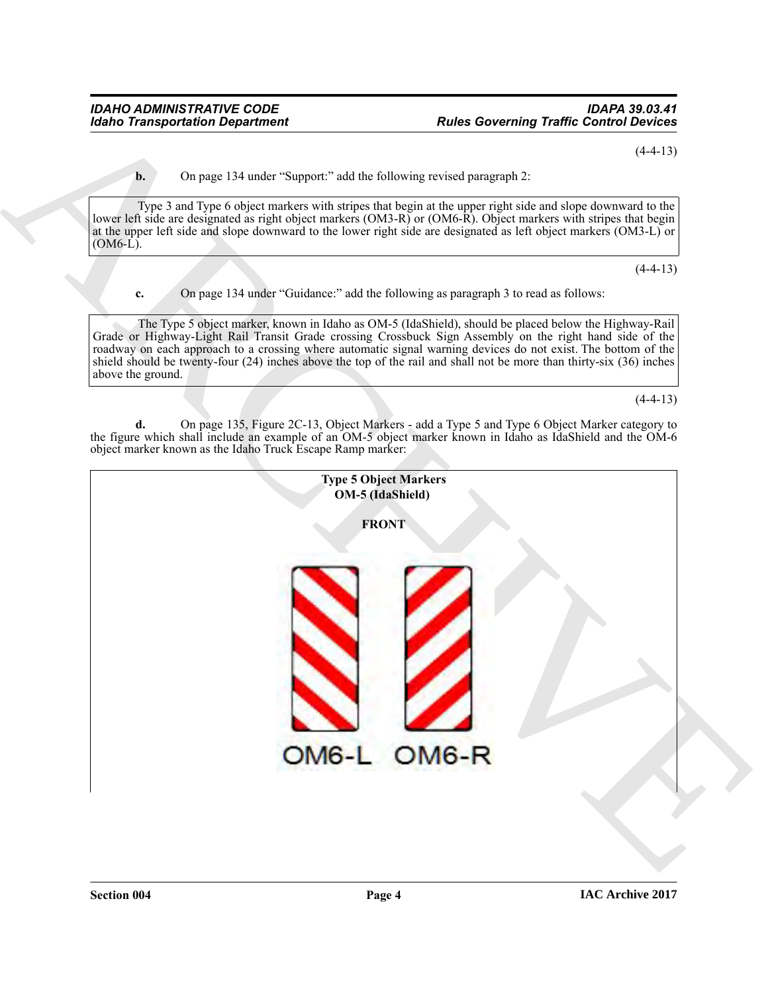$(4-4-13)$ 

**b.** On page 134 under "Support:" add the following revised paragraph 2:

Type 3 and Type 6 object markers with stripes that begin at the upper right side and slope downward to the lower left side are designated as right object markers (OM3-R) or (OM6-R). Object markers with stripes that begin at the upper left side and slope downward to the lower right side are designated as left object markers (OM3-L) or (OM6-L).

 $(4-4-13)$ 

**c.** On page 134 under "Guidance:" add the following as paragraph 3 to read as follows:

The Type 5 object marker, known in Idaho as OM-5 (IdaShield), should be placed below the Highway-Rail Grade or Highway-Light Rail Transit Grade crossing Crossbuck Sign Assembly on the right hand side of the roadway on each approach to a crossing where automatic signal warning devices do not exist. The bottom of the shield should be twenty-four (24) inches above the top of the rail and shall not be more than thirty-six (36) inches above the ground.

 $(4-4-13)$ 

**d.** On page 135, Figure 2C-13, Object Markers - add a Type 5 and Type 6 Object Marker category to the figure which shall include an example of an OM-5 object marker known in Idaho as IdaShield and the OM-6 object marker known as the Idaho Truck Escape Ramp marker:

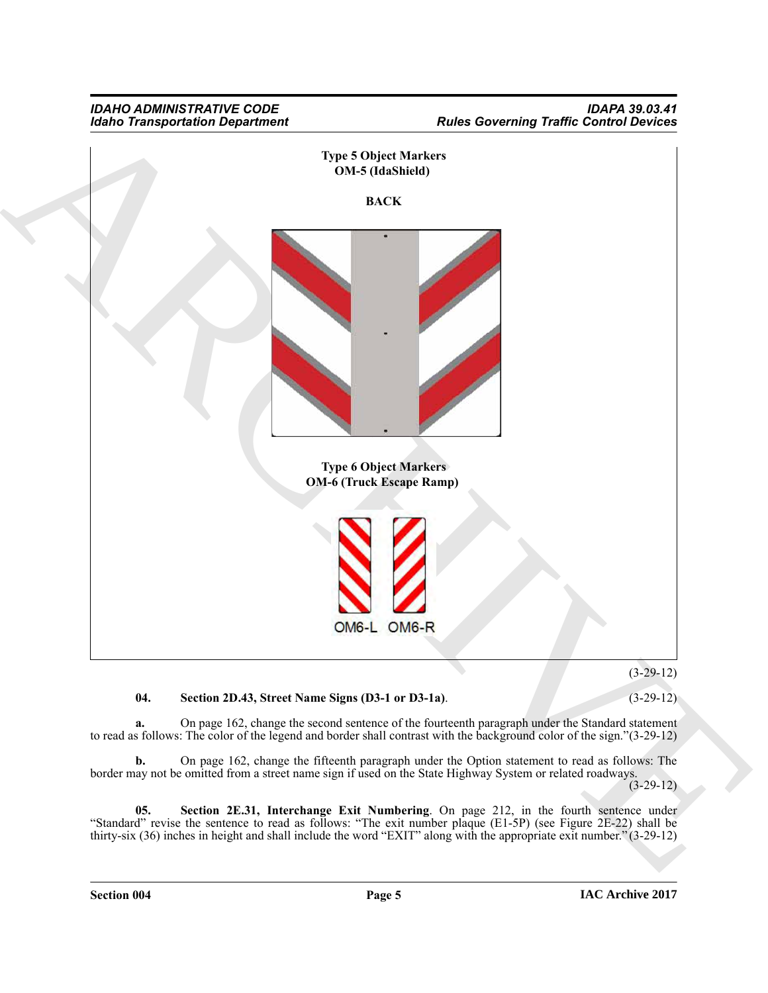

**04. Section 2D.43, Street Name Signs (D3-1 or D3-1a)**. (3-29-12)

**a.** On page 162, change the second sentence of the fourteenth paragraph under the Standard statement to read as follows: The color of the legend and border shall contrast with the background color of the sign."(3-29-12)

**b.** On page 162, change the fifteenth paragraph under the Option statement to read as follows: The border may not be omitted from a street name sign if used on the State Highway System or related roadways.

 $(3-29-12)$ 

**05. Section 2E.31, Interchange Exit Numbering**. On page 212, in the fourth sentence under "Standard" revise the sentence to read as follows: "The exit number plaque (E1-5P) (see Figure 2E-22) shall be thirty-six (36) inches in height and shall include the word "EXIT" along with the appropriate exit number." (3-29-12)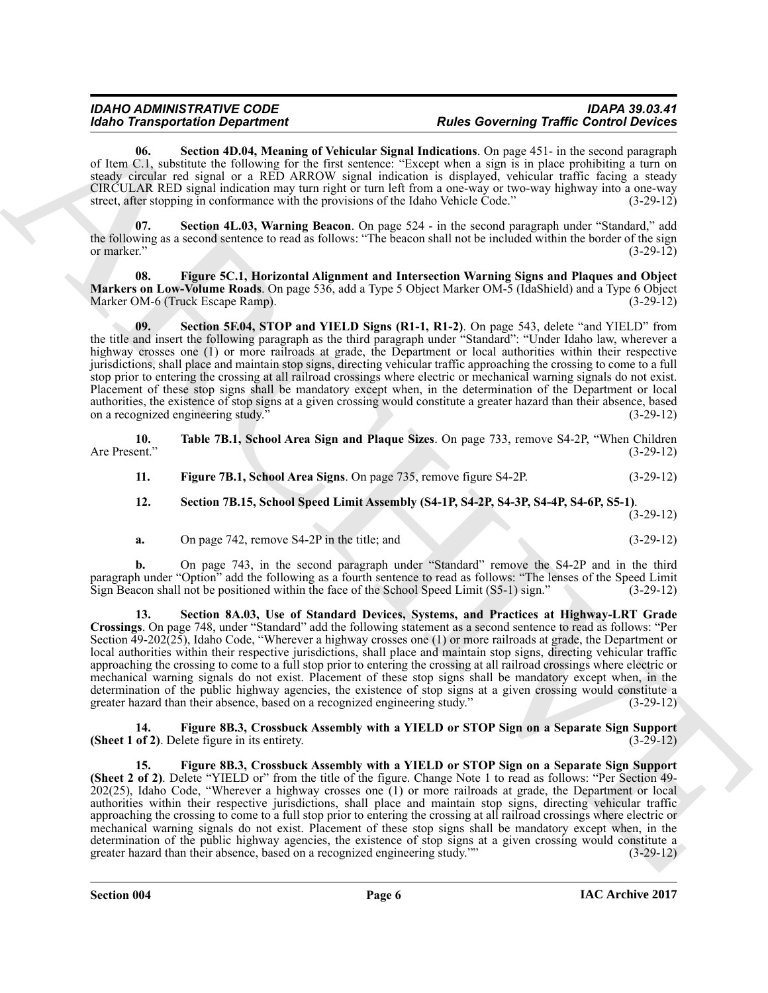## *IDAHO ADMINISTRATIVE CODE IDAPA 39.03.41*

## *Rules Governing Traffic Control Devices*

**06. Section 4D.04, Meaning of Vehicular Signal Indications**. On page 451- in the second paragraph of Item C.1, substitute the following for the first sentence: "Except when a sign is in place prohibiting a turn on steady circular red signal or a RED ARROW signal indication is displayed, vehicular traffic facing a steady CIRCULAR RED signal indication may turn right or turn left from a one-way or two-way highway into a one-way street, after stopping in conformance with the provisions of the Idaho Vehicle Code." (3-29-12)

**07. Section 4L.03, Warning Beacon**. On page 524 - in the second paragraph under "Standard," add the following as a second sentence to read as follows: "The beacon shall not be included within the border of the sign<br>(3-29-12) or marker."  $(3-29-12)$ 

**08. Figure 5C.1, Horizontal Alignment and Intersection Warning Signs and Plaques and Object Markers on Low-Volume Roads**. On page 536, add a Type 5 Object Marker OM-5 (IdaShield) and a Type 6 Object Marker OM-6 (Truck Escape Ramp).

**09.** Section 5F.04, STOP and YIELD Signs (R1-1, R1-2). On page 543, delete "and YIELD" from the title and insert the following paragraph as the third paragraph under "Standard": "Under Idaho law, wherever a highway crosses one (1) or more railroads at grade, the Department or local authorities within their respective jurisdictions, shall place and maintain stop signs, directing vehicular traffic approaching the crossing to come to a full stop prior to entering the crossing at all railroad crossings where electric or mechanical warning signals do not exist. Placement of these stop signs shall be mandatory except when, in the determination of the Department or local authorities, the existence of stop signs at a given crossing would constitute a greater hazard than their absence, based<br>on a recognized engineering study." (3-29-12) on a recognized engineering study.<sup>3</sup>

|               | Table 7B.1, School Area Sign and Plaque Sizes. On page 733, remove S4-2P, "When Children" |  |             |
|---------------|-------------------------------------------------------------------------------------------|--|-------------|
| Are Present." |                                                                                           |  | $(3-29-12)$ |
|               |                                                                                           |  |             |

- **11. Figure 7B.1, School Area Signs**. On page 735, remove figure S4-2P. (3-29-12)
- **12. Section 7B.15, School Speed Limit Assembly (S4-1P, S4-2P, S4-3P, S4-4P, S4-6P, S5-1)**.
	- (3-29-12)
- **a.** On page 742, remove S4-2P in the title; and (3-29-12)

**b.** On page 743, in the second paragraph under "Standard" remove the S4-2P and in the third paragraph under "Option" add the following as a fourth sentence to read as follows: "The lenses of the Speed Limit Sign Beacon shall not be positioned within the face of the School Speed Limit (S5-1) sign." (3-29-12) Sign Beacon shall not be positioned within the face of the School Speed Limit  $(S5-1)$  sign."

Model Transportation Dependent on Microsoften Model Marchives (Source Marchives Marchives Marchives Marchives Marchives Marchives Marchives Marchives Marchives Marchives Marchives Marchives Marchives Marchives Marchives M **13. Section 8A.03, Use of Standard Devices, Systems, and Practices at Highway-LRT Grade Crossings**. On page 748, under "Standard" add the following statement as a second sentence to read as follows: "Per Section 49-202(25), Idaho Code, "Wherever a highway crosses one (1) or more railroads at grade, the Department or local authorities within their respective jurisdictions, shall place and maintain stop signs, directing vehicular traffic approaching the crossing to come to a full stop prior to entering the crossing at all railroad crossings where electric or mechanical warning signals do not exist. Placement of these stop signs shall be mandatory except when, in the determination of the public highway agencies, the existence of stop signs at a given crossing would constitute a greater hazard than their absence, based on a recognized engineering study." (3-29-12) greater hazard than their absence, based on a recognized engineering study."

**14. Figure 8B.3, Crossbuck Assembly with a YIELD or STOP Sign on a Separate Sign Support (Sheet 1 of 2)**. Delete figure in its entirety.

**15. Figure 8B.3, Crossbuck Assembly with a YIELD or STOP Sign on a Separate Sign Support (Sheet 2 of 2)**. Delete "YIELD or" from the title of the figure. Change Note 1 to read as follows: "Per Section 49-  $202(25)$ , Idaho Code, "Wherever a highway crosses one (1) or more railroads at grade, the Department or local authorities within their respective jurisdictions, shall place and maintain stop signs, directing vehicular traffic approaching the crossing to come to a full stop prior to entering the crossing at all railroad crossings where electric or mechanical warning signals do not exist. Placement of these stop signs shall be mandatory except when, in the determination of the public highway agencies, the existence of stop signs at a given crossing would constitute a greater hazard than their absence, based on a recognized engineering study."" (3-29-12) greater hazard than their absence, based on a recognized engineering study.""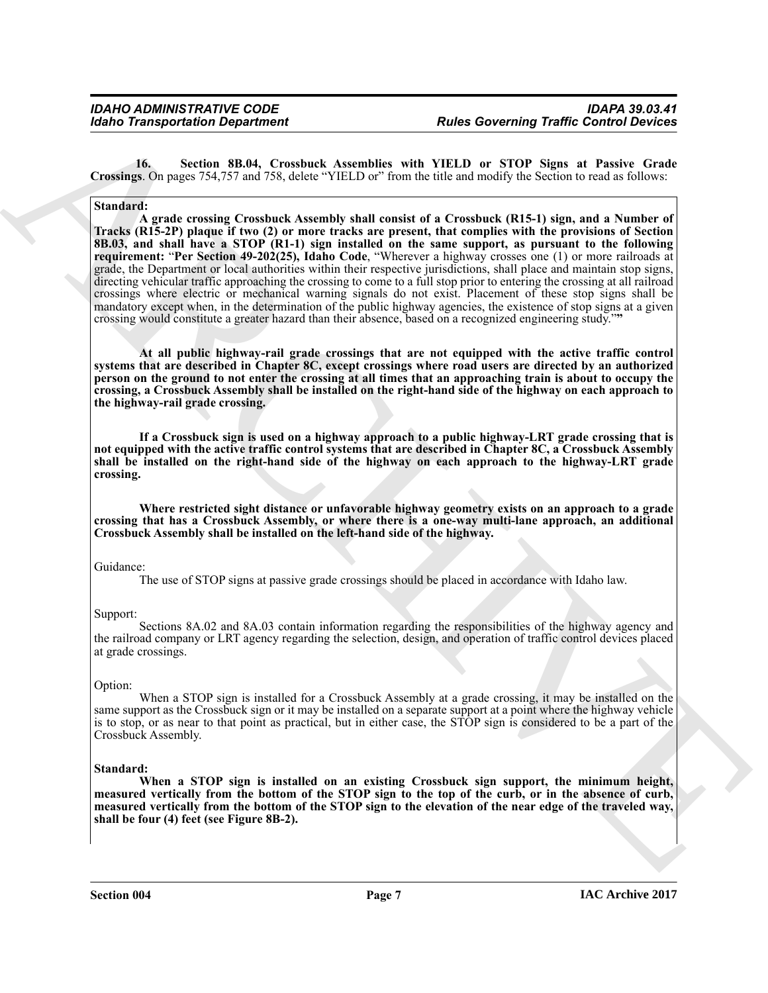**16. Section 8B.04, Crossbuck Assemblies with YIELD or STOP Signs at Passive Grade Crossings**. On pages 754,757 and 758, delete "YIELD or" from the title and modify the Section to read as follows:

#### **Standard:**

Gotin Transportation Department<br>
Totalis a Solid Convenient Convenient Assembly with NEU DEL De STOP Signs at Passive Constant Convenient Convenient Convenient Convenient Convenient Convenient Convenient Convenient Conven **A grade crossing Crossbuck Assembly shall consist of a Crossbuck (R15-1) sign, and a Number of Tracks (R15-2P) plaque if two (2) or more tracks are present, that complies with the provisions of Section 8B.03, and shall have a STOP (R1-1) sign installed on the same support, as pursuant to the following requirement:** "**Per Section 49-202(25), Idaho Code**, "Wherever a highway crosses one (1) or more railroads at grade, the Department or local authorities within their respective jurisdictions, shall place and maintain stop signs, directing vehicular traffic approaching the crossing to come to a full stop prior to entering the crossing at all railroad crossings where electric or mechanical warning signals do not exist. Placement of these stop signs shall be mandatory except when, in the determination of the public highway agencies, the existence of stop signs at a given crossing would constitute a greater hazard than their absence, based on a recognized engineering study."**"**

**At all public highway-rail grade crossings that are not equipped with the active traffic control systems that are described in Chapter 8C, except crossings where road users are directed by an authorized person on the ground to not enter the crossing at all times that an approaching train is about to occupy the crossing, a Crossbuck Assembly shall be installed on the right-hand side of the highway on each approach to the highway-rail grade crossing.** 

**If a Crossbuck sign is used on a highway approach to a public highway-LRT grade crossing that is not equipped with the active traffic control systems that are described in Chapter 8C, a Crossbuck Assembly shall be installed on the right-hand side of the highway on each approach to the highway-LRT grade crossing.** 

**Where restricted sight distance or unfavorable highway geometry exists on an approach to a grade crossing that has a Crossbuck Assembly, or where there is a one-way multi-lane approach, an additional Crossbuck Assembly shall be installed on the left-hand side of the highway.**

#### Guidance:

The use of STOP signs at passive grade crossings should be placed in accordance with Idaho law.

#### Support:

Sections 8A.02 and 8A.03 contain information regarding the responsibilities of the highway agency and the railroad company or LRT agency regarding the selection, design, and operation of traffic control devices placed at grade crossings.

#### Option:

When a STOP sign is installed for a Crossbuck Assembly at a grade crossing, it may be installed on the same support as the Crossbuck sign or it may be installed on a separate support at a point where the highway vehicle is to stop, or as near to that point as practical, but in either case, the STOP sign is considered to be a part of the Crossbuck Assembly.

#### **Standard:**

**When a STOP sign is installed on an existing Crossbuck sign support, the minimum height, measured vertically from the bottom of the STOP sign to the top of the curb, or in the absence of curb, measured vertically from the bottom of the STOP sign to the elevation of the near edge of the traveled way, shall be four (4) feet (see Figure 8B-2).**

**Section 004 Page 7**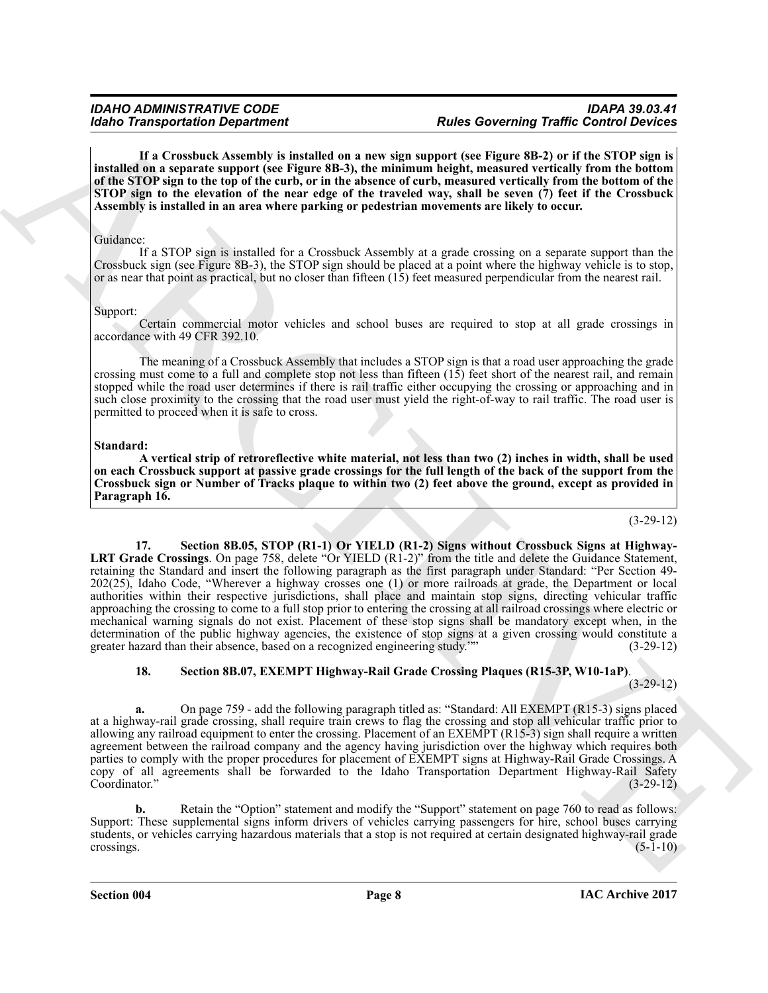**If a Crossbuck Assembly is installed on a new sign support (see Figure 8B-2) or if the STOP sign is installed on a separate support (see Figure 8B-3), the minimum height, measured vertically from the bottom of the STOP sign to the top of the curb, or in the absence of curb, measured vertically from the bottom of the STOP sign to the elevation of the near edge of the traveled way, shall be seven (7) feet if the Crossbuck Assembly is installed in an area where parking or pedestrian movements are likely to occur.**

#### Guidance:

If a STOP sign is installed for a Crossbuck Assembly at a grade crossing on a separate support than the Crossbuck sign (see Figure 8B-3), the STOP sign should be placed at a point where the highway vehicle is to stop, or as near that point as practical, but no closer than fifteen (15) feet measured perpendicular from the nearest rail.

#### Support:

Certain commercial motor vehicles and school buses are required to stop at all grade crossings in accordance with 49 CFR 392.10.

The meaning of a Crossbuck Assembly that includes a STOP sign is that a road user approaching the grade crossing must come to a full and complete stop not less than fifteen  $(15)$  feet short of the nearest rail, and remain stopped while the road user determines if there is rail traffic either occupying the crossing or approaching and in such close proximity to the crossing that the road user must yield the right-of-way to rail traffic. The road user is permitted to proceed when it is safe to cross.

#### **Standard:**

**A vertical strip of retroreflective white material, not less than two (2) inches in width, shall be used on each Crossbuck support at passive grade crossings for the full length of the back of the support from the Crossbuck sign or Number of Tracks plaque to within two (2) feet above the ground, except as provided in Paragraph 16.**

#### (3-29-12)

Monito Transportation Department<br>
and the statement of the statement of the statement of the statement of the statement of the statement of the statement of the statement of the statement of the statement of the statement **17. Section 8B.05, STOP (R1-1) Or YIELD (R1-2) Signs without Crossbuck Signs at Highway-LRT Grade Crossings**. On page 758, delete "Or YIELD (R1-2)" from the title and delete the Guidance Statement, retaining the Standard and insert the following paragraph as the first paragraph under Standard: "Per Section 49- 202(25), Idaho Code, "Wherever a highway crosses one (1) or more railroads at grade, the Department or local authorities within their respective jurisdictions, shall place and maintain stop signs, directing vehicular traffic approaching the crossing to come to a full stop prior to entering the crossing at all railroad crossings where electric or mechanical warning signals do not exist. Placement of these stop signs shall be mandatory except when, in the determination of the public highway agencies, the existence of stop signs at a given crossing would constitute a greater hazard than their absence, based on a recognized engineering study."" (3-29-12) greater hazard than their absence, based on a recognized engineering study.""

### **18. Section 8B.07, EXEMPT Highway-Rail Grade Crossing Plaques (R15-3P, W10-1aP)**.

(3-29-12)

**a.** On page 759 - add the following paragraph titled as: "Standard: All EXEMPT (R15-3) signs placed at a highway-rail grade crossing, shall require train crews to flag the crossing and stop all vehicular traffic prior to allowing any railroad equipment to enter the crossing. Placement of an EXEMPT (R15-3) sign shall require a written agreement between the railroad company and the agency having jurisdiction over the highway which requires both parties to comply with the proper procedures for placement of EXEMPT signs at Highway-Rail Grade Crossings. A copy of all agreements shall be forwarded to the Idaho Transportation Department Highway-Rail Safety<br>Coordinator." (3-29-12) Coordinator." (3-29-12)

**b.** Retain the "Option" statement and modify the "Support" statement on page 760 to read as follows: Support: These supplemental signs inform drivers of vehicles carrying passengers for hire, school buses carrying students, or vehicles carrying hazardous materials that a stop is not required at certain designated highway-rail grade<br>crossings. (5-1-10) crossings.  $(5-1-10)$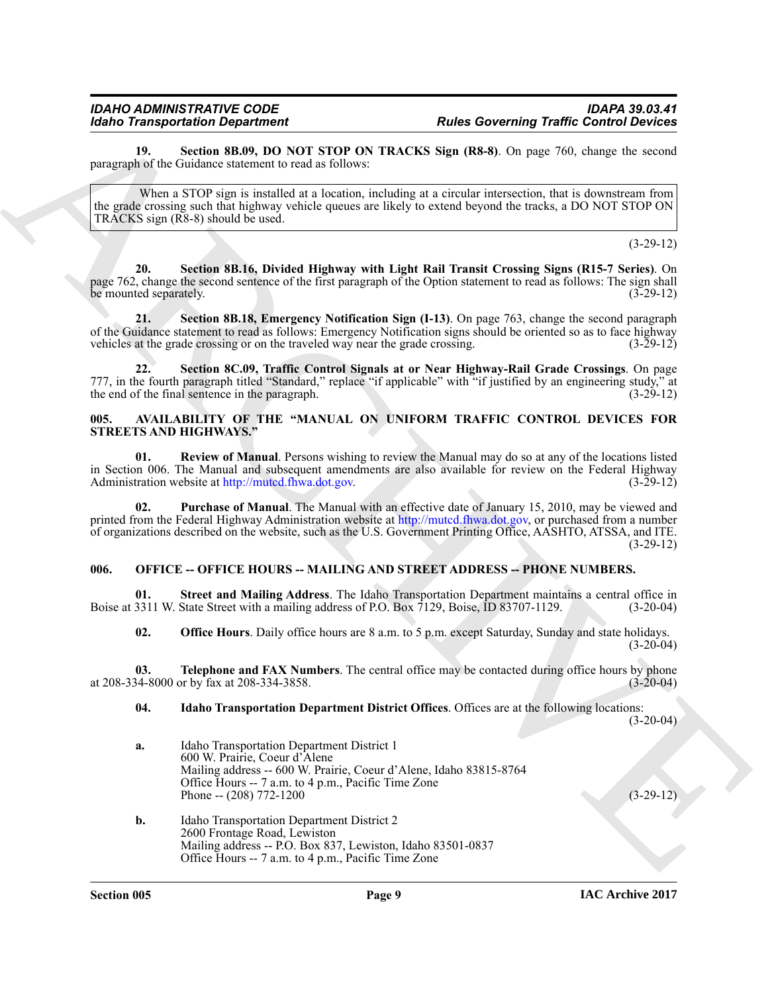**19. Section 8B.09, DO NOT STOP ON TRACKS Sign (R8-8)**. On page 760, change the second paragraph of the Guidance statement to read as follows:

When a STOP sign is installed at a location, including at a circular intersection, that is downstream from the grade crossing such that highway vehicle queues are likely to extend beyond the tracks, a DO NOT STOP ON TRACKS sign (R8-8) should be used.

(3-29-12)

**20. Section 8B.16, Divided Highway with Light Rail Transit Crossing Signs (R15-7 Series)**. On page 762, change the second sentence of the first paragraph of the Option statement to read as follows: The sign shall be mounted separately. (3-29-12)

**21. Section 8B.18, Emergency Notification Sign (I-13)**. On page 763, change the second paragraph of the Guidance statement to read as follows: Emergency Notification signs should be oriented so as to face highway<br>vehicles at the grade crossing or on the traveled way near the grade crossing. (3-29-12) vehicles at the grade crossing or on the traveled way near the grade crossing.

**22. Section 8C.09, Traffic Control Signals at or Near Highway-Rail Grade Crossings**. On page 777, in the fourth paragraph titled "Standard," replace "if applicable" with "if justified by an engineering study," at the end of the final sentence in the paragraph.  $(3-29-12)$ the end of the final sentence in the paragraph.

#### <span id="page-8-2"></span><span id="page-8-0"></span>**005. AVAILABILITY OF THE "MANUAL ON UNIFORM TRAFFIC CONTROL DEVICES FOR STREETS AND HIGHWAYS."**

**01. Review of Manual**. Persons wishing to review the Manual may do so at any of the locations listed in Section 006. The Manual and subsequent amendments are also available for review on the Federal Highway Administration website at http://muted.fhwa.dot.gov. (3-29-12) Administration website at http://mutcd.fhwa.dot.gov.

For Transportation Dependent on the Solenzial Content of Transportation Content of the Solenzial Content of Transportation Content of Transportation (1971)<br>
Note that the Solenzial Content of the Solenzial Content of the **02. Purchase of Manual**. The Manual with an effective date of January 15, 2010, may be viewed and printed from the Federal Highway Administration website at http://mutcd.fhwa.dot.gov, or purchased from a number of organizations described on the website, such as the U.S. Government Printing Office, AASHTO, ATSSA, and ITE.  $(3-29-12)$ 

### <span id="page-8-1"></span>**006. OFFICE -- OFFICE HOURS -- MAILING AND STREET ADDRESS -- PHONE NUMBERS.**

**01.** Street and Mailing Address. The Idaho Transportation Department maintains a central office in 3311 W. State Street with a mailing address of P.O. Box 7129, Boise, ID 83707-1129. (3-20-04) Boise at 3311 W. State Street with a mailing address of P.O. Box 7129, Boise, ID 83707-1129.

**02. Office Hours**. Daily office hours are 8 a.m. to 5 p.m. except Saturday, Sunday and state holidays.  $(3-20-04)$ 

**03. Telephone and FAX Numbers**. The central office may be contacted during office hours by phone 34-8000 or by fax at 208-334-3858. at 208-334-8000 or by fax at 208-334-3858.

### **04. Idaho Transportation Department District Offices**. Offices are at the following locations:

(3-20-04)

**a.** Idaho Transportation Department District 1 600 W. Prairie, Coeur d'Alene Mailing address -- 600 W. Prairie, Coeur d'Alene, Idaho 83815-8764 Office Hours -- 7 a.m. to 4 p.m., Pacific Time Zone Phone --  $(208)$  772-1200

**b.** Idaho Transportation Department District 2 2600 Frontage Road, Lewiston Mailing address -- P.O. Box 837, Lewiston, Idaho 83501-0837 Office Hours -- 7 a.m. to 4 p.m., Pacific Time Zone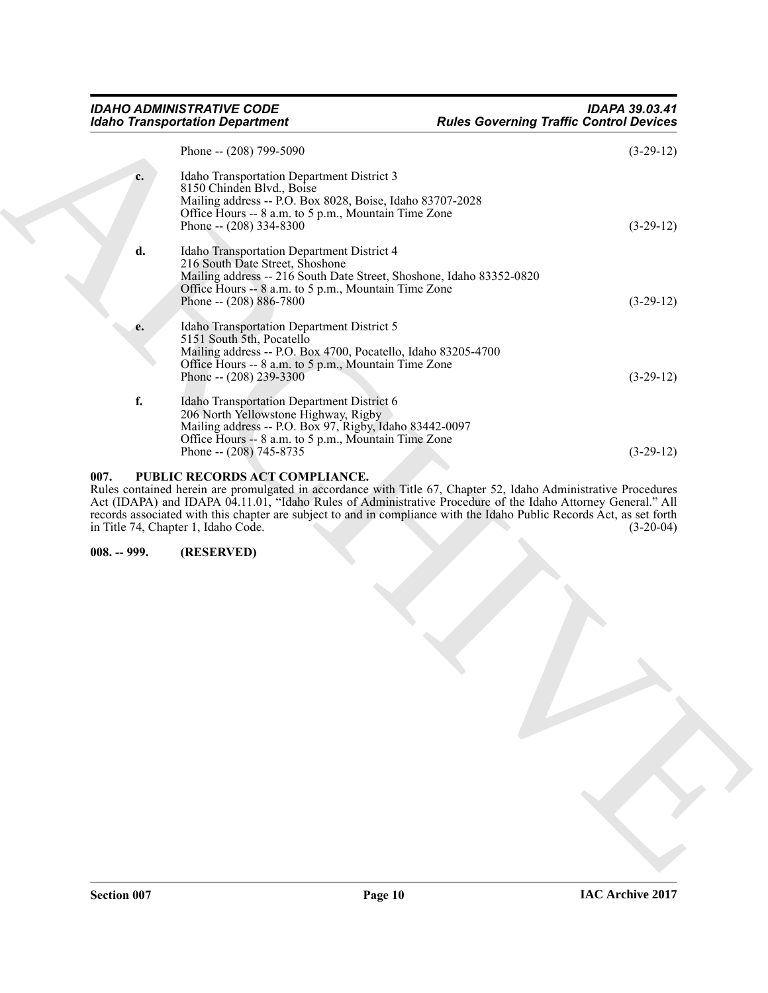| <b>Idaho Transportation Department</b> |                                                                                                                                                                                                                                                                                                                                                                                                                                   | <b>Rules Governing Traffic Control Devices</b> |  |  |
|----------------------------------------|-----------------------------------------------------------------------------------------------------------------------------------------------------------------------------------------------------------------------------------------------------------------------------------------------------------------------------------------------------------------------------------------------------------------------------------|------------------------------------------------|--|--|
|                                        | Phone -- (208) 799-5090                                                                                                                                                                                                                                                                                                                                                                                                           | $(3-29-12)$                                    |  |  |
| c.                                     | Idaho Transportation Department District 3<br>8150 Chinden Blvd., Boise<br>Mailing address -- P.O. Box 8028, Boise, Idaho 83707-2028<br>Office Hours -- 8 a.m. to 5 p.m., Mountain Time Zone<br>Phone -- $(208)$ 334-8300                                                                                                                                                                                                         | $(3-29-12)$                                    |  |  |
| d.                                     | Idaho Transportation Department District 4<br>216 South Date Street, Shoshone<br>Mailing address -- 216 South Date Street, Shoshone, Idaho 83352-0820<br>Office Hours -- 8 a.m. to 5 p.m., Mountain Time Zone<br>Phone -- $(208) 886 - 7800$                                                                                                                                                                                      | $(3-29-12)$                                    |  |  |
| e.                                     | Idaho Transportation Department District 5<br>5151 South 5th, Pocatello<br>Mailing address -- P.O. Box 4700, Pocatello, Idaho 83205-4700<br>Office Hours -- 8 a.m. to 5 p.m., Mountain Time Zone<br>Phone -- $(208)$ 239-3300                                                                                                                                                                                                     | $(3-29-12)$                                    |  |  |
| f.                                     | Idaho Transportation Department District 6<br>206 North Yellowstone Highway, Rigby<br>Mailing address -- P.O. Box 97, Rigby, Idaho 83442-0097<br>Office Hours -- 8 a.m. to 5 p.m., Mountain Time Zone<br>Phone -- (208) 745-8735                                                                                                                                                                                                  | $(3-29-12)$                                    |  |  |
| 007.                                   | PUBLIC RECORDS ACT COMPLIANCE.<br>Rules contained herein are promulgated in accordance with Title 67, Chapter 52, Idaho Administrative Procedures<br>Act (IDAPA) and IDAPA 04.11.01, "Idaho Rules of Administrative Procedure of the Idaho Attorney General." All<br>records associated with this chapter are subject to and in compliance with the Idaho Public Records Act, as set forth<br>in Title 74, Chapter 1, Idaho Code. | $(3-20-04)$                                    |  |  |
| $008. - 999.$                          | (RESERVED)                                                                                                                                                                                                                                                                                                                                                                                                                        |                                                |  |  |
|                                        |                                                                                                                                                                                                                                                                                                                                                                                                                                   |                                                |  |  |
|                                        |                                                                                                                                                                                                                                                                                                                                                                                                                                   |                                                |  |  |

#### <span id="page-9-1"></span><span id="page-9-0"></span>**007. PUBLIC RECORDS ACT COMPLIANCE.**